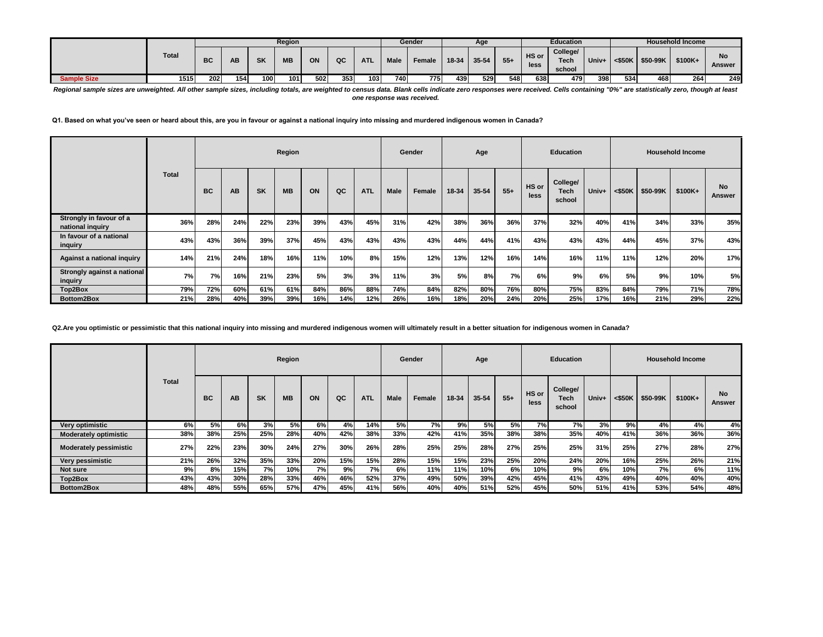|                    |              |     |     |           | Region    |     |     |            |             | Gender |       | Age       |       |               | <b>Education</b>           |       |           |          | <b>Household Income</b> |                     |
|--------------------|--------------|-----|-----|-----------|-----------|-----|-----|------------|-------------|--------|-------|-----------|-------|---------------|----------------------------|-------|-----------|----------|-------------------------|---------------------|
|                    | <b>Total</b> | вc  | АΒ  | <b>SK</b> | <b>MB</b> | ON  | QC  | <b>ATL</b> | <b>Male</b> | Female | 18-34 | $35 - 54$ | $55+$ | HS or<br>less | College/<br>Tech<br>school | Univ+ | $<$ \$50K | \$50-99K | \$100K+                 | <b>No</b><br>Answer |
| <b>Sample Size</b> | 1515         | 202 | 154 | 100       | 101       | 502 | 353 | 103        | 740         | 775    | 439   | 529       | 548   | 638           | 479                        | 398   | 534       | 468      | 264                     | 249                 |

Regional sample sizes are unweighted. All other sample sizes, including totals, are weighted to census data. Blank cells indicate zero responses were received. Cells containing "0%" are statistically zero, though at least *one response was received.*

**Q1. Based on what you've seen or heard about this, are you in favour or against a national inquiry into missing and murdered indigenous women in Canada?**

|                                             |              |           |     |           | Region    |     |     |            |             | Gender |           | Age       |       |               | <b>Education</b>                  |       |     |                    | <b>Household Income</b> |                     |
|---------------------------------------------|--------------|-----------|-----|-----------|-----------|-----|-----|------------|-------------|--------|-----------|-----------|-------|---------------|-----------------------------------|-------|-----|--------------------|-------------------------|---------------------|
|                                             | <b>Total</b> | <b>BC</b> | AB  | <b>SK</b> | <b>MB</b> | ON  | QC  | <b>ATL</b> | <b>Male</b> | Female | $18 - 34$ | $35 - 54$ | $55+$ | HS or<br>less | College/<br><b>Tech</b><br>school | Univ+ |     | $<$ \$50K \$50-99K | $$100K+$                | <b>No</b><br>Answer |
| Strongly in favour of a<br>national inquiry | 36%          | 28%       | 24% | 22%       | 23%       | 39% | 43% | 45%        | 31%         | 42%    | 38%       | 36%       | 36%   | 37%           | 32%                               | 40%   | 41% | 34%                | 33%                     | 35%                 |
| In favour of a national<br>inquiry          | 43%          | 43%       | 36% | 39%       | 37%       | 45% | 43% | 43%        | 43%         | 43%    | 44%       | 44%       | 41%   | 43%           | 43%                               | 43%   | 44% | 45%                | 37%                     | 43%                 |
| Against a national inquiry                  | 14%          | 21%       | 24% | 18%       | 16%       | 11% | 10% | 8%         | 15%         | 12%    | 13%       | 12%       | 16%   | 14%           | 16%                               | 11%   | 11% | 12%                | 20%                     | 17%                 |
| Strongly against a national<br>inquiry      | 7%           | 7%        | 16% | 21%       | 23%       | 5%  | 3%  | 3%         | 11%         | 3%     | 5%        | 8%        | 7%    | 6%            | 9%                                | 6%    | 5%  | 9%                 | 10%                     | 5%                  |
| Top2Box                                     | 79%          | 72%       | 60% | 61%       | 61%       | 84% | 86% | 88%        | 74%         | 84%    | 82%       | 80%       | 76%   | 80%           | 75%                               | 83%   | 84% | 79%                | 71%                     | 78%                 |
| Bottom2Box                                  | 21%          | 28%       | 40% | 39%       | 39%       | 16% | 14% | 12%        | 26%         | 16%    | 18%       | 20%       | 24%   | 20%           | 25%                               | 17%   | 16% | 21%                | 29%                     | 22%                 |

**Q2.Are you optimistic or pessimistic that this national inquiry into missing and murdered indigenous women will ultimately result in a better situation for indigenous women in Canada?**

|                               |              |           |           |           | Region    |     |     |            |             | Gender     |           | Age       |           |               | <b>Education</b>           |       |     |                    | <b>Household Income</b> |                     |
|-------------------------------|--------------|-----------|-----------|-----------|-----------|-----|-----|------------|-------------|------------|-----------|-----------|-----------|---------------|----------------------------|-------|-----|--------------------|-------------------------|---------------------|
|                               | <b>Total</b> | <b>BC</b> | <b>AB</b> | <b>SK</b> | <b>MB</b> | ON  | QC  | <b>ATL</b> | <b>Male</b> | Female     | $18 - 34$ | 35-54     | $55+$     | HS or<br>less | College/<br>Tech<br>school | Univ+ |     | $<$ \$50K \$50-99K | $$100K+$                | <b>No</b><br>Answer |
| Very optimistic               | 6%           | 5%        | 6%        | 3%        | 5%        | 6%  | 4%  | 14%        | 5%          | 7%         | 9%        | <b>5%</b> | <b>5%</b> | 7%            | 7%                         | 3%    | 9%  | 4%                 | 4%                      | 4%                  |
| <b>Moderately optimistic</b>  | 38%          | 38%       | 25%       | 25%       | 28%       | 40% | 42% | 38%        | 33%         | 42%        | 41%       | 35%       | 38%       | 38%           | 35%                        | 40%   | 41% | 36%                | 36%                     | 36%                 |
| <b>Moderately pessimistic</b> | 27%          | 22%       | 23%       | 30%       | 24%       | 27% | 30% | 26%        | 28%         | 25%        | 25%       | 28%       | 27%       | 25%           | 25%                        | 31%   | 25% | 27%                | 28%                     | 27%                 |
| Very pessimistic              | 21%          | 26%       | 32%       | 35%       | 33%       | 20% | 15% | 15%        | 28%         | 15%        | 15%       | 23%       | 25%       | 20%           | 24%                        | 20%   | 16% | 25%                | 26%                     | 21%                 |
| Not sure                      | 9%           | 8%        | 15%       | 7% l      | 10%       | 7%  | 9%  | 7%         | 6%          | <b>11%</b> | 11%       | 10%       | 6%        | 10%           | 9%                         | 6%    | 10% | 7%                 | 6%                      | 11%                 |
| Top2Box                       | 43%          | 43%       | 30%       | 28%       | 33%       | 46% | 46% | 52%        | 37%         | 49%        | 50%       | 39%       | 42%       | 45%           | 41%                        | 43%   | 49% | 40%                | 40%                     | 40%                 |
| Bottom2Box                    | 48%          | 48%       | 55%       | 65%       | 57%       | 47% | 45% | 41%        | 56%         | 40%        | 40%       | 51%       | 52%       | 45%           | 50%                        | 51%   | 41% | 53%                | 54%                     | 48%                 |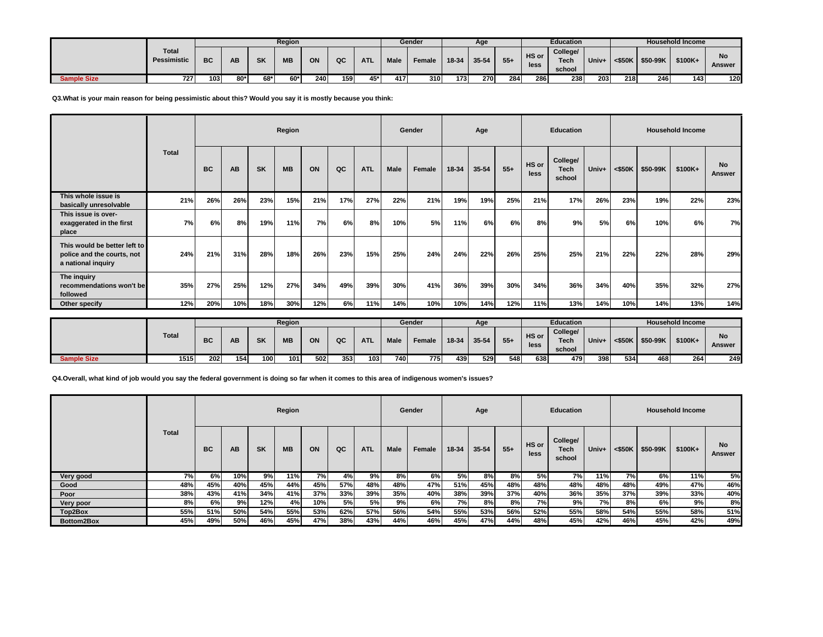|                    |                             |           |     |           | Region    |     |     |            |             | Gender |       | Age       |        |               | <b>Education</b>                  |       |           |          | <b>Household Income</b> |                     |
|--------------------|-----------------------------|-----------|-----|-----------|-----------|-----|-----|------------|-------------|--------|-------|-----------|--------|---------------|-----------------------------------|-------|-----------|----------|-------------------------|---------------------|
|                    | <b>Total</b><br>Pessimistic | <b>BC</b> | ΑВ  | <b>SK</b> | <b>MB</b> | ON  | QC  | <b>ATL</b> | <b>Male</b> | Female | 18-34 | $35 - 54$ | $55 +$ | HS or<br>less | College/<br><b>Tech</b><br>school | Univ+ | $<$ \$50K | \$50-99K | \$100K+                 | <b>No</b><br>Answer |
| <b>Sample Size</b> | 727                         | 103       | 80* | 68*       | 60*       | 240 | 159 | 45*        | 417         | 310    | 173   | 270       | 284    | 286           | 238                               | 203   | 218       | 246      | 143                     | 120                 |

## **Q3.What is your main reason for being pessimistic about this? Would you say it is mostly because you think:**

|                                                                                  |       |           |     |           | Region    |     |     |            |      | Gender |           | Age       |       |               | <b>Education</b>                  |       |           |          | <b>Household Income</b> |                     |
|----------------------------------------------------------------------------------|-------|-----------|-----|-----------|-----------|-----|-----|------------|------|--------|-----------|-----------|-------|---------------|-----------------------------------|-------|-----------|----------|-------------------------|---------------------|
|                                                                                  | Total | <b>BC</b> | AB  | <b>SK</b> | <b>MB</b> | ON  | QC  | <b>ATL</b> | Male | Female | $18 - 34$ | $35 - 54$ | $55+$ | HS or<br>less | College/<br><b>Tech</b><br>school | Univ+ | $<$ \$50K | \$50-99K | $$100K+$                | <b>No</b><br>Answer |
| This whole issue is<br>basically unresolvable                                    | 21%   | 26%       | 26% | 23%       | 15%       | 21% | 17% | 27%        | 22%  | 21%    | 19%       | 19%       | 25%   | 21%           | 17%                               | 26%   | 23%       | 19%      | 22%                     | 23%                 |
| This issue is over-<br>exaggerated in the first<br>place                         | 7%    | 6%        | 8%  | 19%       | 11%       | 7%  | 6%  | 8%         | 10%  | 5%     | 11%       | 6%        | 6%    | 8%            | 9%                                | 5%    | 6%        | 10%      | 6%                      | 7%                  |
| This would be better left to<br>police and the courts, not<br>a national inquiry | 24%   | 21%       | 31% | 28%       | 18%       | 26% | 23% | 15%        | 25%  | 24%    | 24%       | 22%       | 26%   | 25%           | 25%                               | 21%   | 22%       | 22%      | 28%                     | 29%                 |
| The inquiry<br>recommendations won't be<br>followed                              | 35%   | 27%       | 25% | 12%       | 27%       | 34% | 49% | 39%        | 30%  | 41%    | 36%       | 39%       | 30%   | 34%           | 36%                               | 34%   | 40%       | 35%      | 32%                     | 27%                 |
| Other specify                                                                    | 12%   | 20%       | 10% | 18%       | 30%       | 12% | 6%  | 11%        | 14%  | 10%    | 10%       | 14%       | 12%   | 11%           | 13%                               | 14%   | 10%       | 14%      | 13%                     | 14%                 |

|                    |              |     |     |           | Region    |     |     |            |      | Gender |       | Age       |       |               | <b>Education</b>                  |       |           |          | <b>Household Income</b> |                     |
|--------------------|--------------|-----|-----|-----------|-----------|-----|-----|------------|------|--------|-------|-----------|-------|---------------|-----------------------------------|-------|-----------|----------|-------------------------|---------------------|
|                    | <b>Total</b> | BC  | АΒ  | <b>SK</b> | <b>MB</b> | ON  | QC  | <b>ATL</b> | Male | Female | 18-34 | $35 - 54$ | $55+$ | HS or<br>less | College/<br><b>Tech</b><br>school | Univ+ | $<$ \$50K | \$50-99K | \$100K+                 | <b>No</b><br>Answer |
| <b>Sample Size</b> | 1515         | 202 | 154 | $100 -$   | 101       | 502 | 353 | 103        | 740  | 7751   | 439   | 529       | 548   | 638           | 479                               | 398   | 534       | 468      | 264                     | 249                 |

**Q4.Overall, what kind of job would you say the federal government is doing so far when it comes to this area of indigenous women's issues?**

|            |              |           |     |           | Region    |       |     |            |             | Gender |       | Age       |       |               | <b>Education</b>                  |       |     |                    | <b>Household Income</b> |                     |
|------------|--------------|-----------|-----|-----------|-----------|-------|-----|------------|-------------|--------|-------|-----------|-------|---------------|-----------------------------------|-------|-----|--------------------|-------------------------|---------------------|
|            | <b>Total</b> | <b>BC</b> | AB  | <b>SK</b> | <b>MB</b> | ON    | QC  | <b>ATL</b> | <b>Male</b> | Female | 18-34 | $35 - 54$ | $55+$ | HS or<br>less | College/<br><b>Tech</b><br>school | Univ+ |     | $<$ \$50K \$50-99K | \$100K+                 | <b>No</b><br>Answer |
| Very good  | 7%           | 6%        | 10% | 9%        | 11%       | $7\%$ | 4%  | 9%         | 8%          | 6%     | 5%    | 8%        | 8%    | 5%            | 7%                                | 11%   | 7%  | 6%                 | $11\%$                  | 5%                  |
| Good       | 48%          | 45%       | 40% | 45%       | 44%       | 45%   | 57% | 48%        | 48%         | 47%    | 51%   | 45%       | 48%   | 48%           | 48%                               | 48%   | 48% | 49%                | 47%                     | 46%                 |
| Poor       | 38%          | 43%       | 41% | 34%       | 41%       | 37%   | 33% | 39%        | 35%         | 40%    | 38%   | 39%       | 37%   | 40%           | 36%                               | 35%   | 37% | 39%                | 33%                     | 40%                 |
| Very poor  | 8%           | 6%        | 9%  | 12%       | 4%        | 10%   | 5%  | 5%         | 9%          | 6%     | 7%    | 8%        | 8%    | 7%            | 9%                                | 7%    | 8%  | 6%                 | 9%।                     | 8%                  |
| Top2Box    | 55%          | 51%       | 50% | 54%       | 55%       | 53%   | 62% | 57%        | 56%         | 54%    | 55%   | 53%       | 56%   | 52%           | 55%                               | 58%   | 54% | 55%                | 58%                     | 51%                 |
| Bottom2Box | 45%          | 49%       | 50% | 46%       | 45%       | 47%   | 38% | 43%        | 44%         | 46%    | 45%   | 47%       | 44%   | 48%           | 45%                               | 42%   | 46% | 45%                | 42%                     | 49%                 |